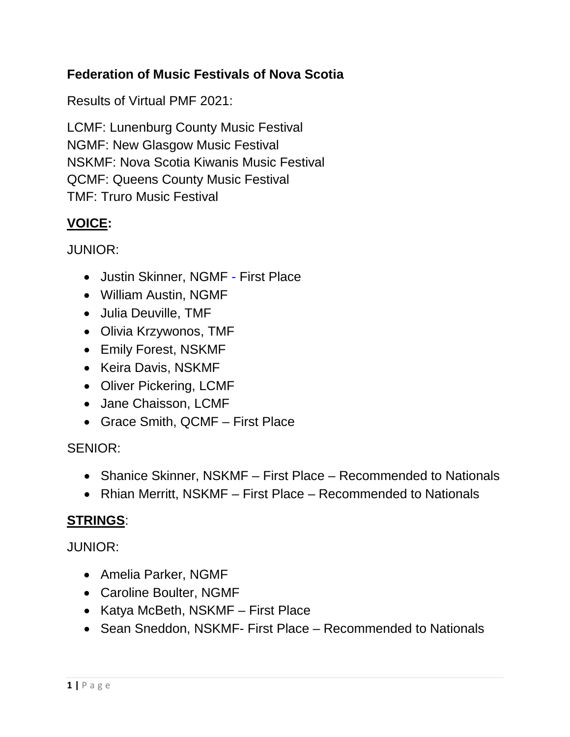## **Federation of Music Festivals of Nova Scotia**

Results of Virtual PMF 2021:

LCMF: Lunenburg County Music Festival NGMF: New Glasgow Music Festival NSKMF: Nova Scotia Kiwanis Music Festival QCMF: Queens County Music Festival TMF: Truro Music Festival

## **VOICE:**

JUNIOR:

- Justin Skinner, NGMF First Place
- William Austin, NGMF
- Julia Deuville, TMF
- Olivia Krzywonos, TMF
- Emily Forest, NSKMF
- Keira Davis, NSKMF
- Oliver Pickering, LCMF
- Jane Chaisson, LCMF
- Grace Smith, QCMF First Place

SENIOR:

- Shanice Skinner, NSKMF First Place Recommended to Nationals
- Rhian Merritt, NSKMF First Place Recommended to Nationals

### **STRINGS**:

JUNIOR:

- Amelia Parker, NGMF
- Caroline Boulter, NGMF
- Katya McBeth, NSKMF First Place
- Sean Sneddon, NSKMF- First Place Recommended to Nationals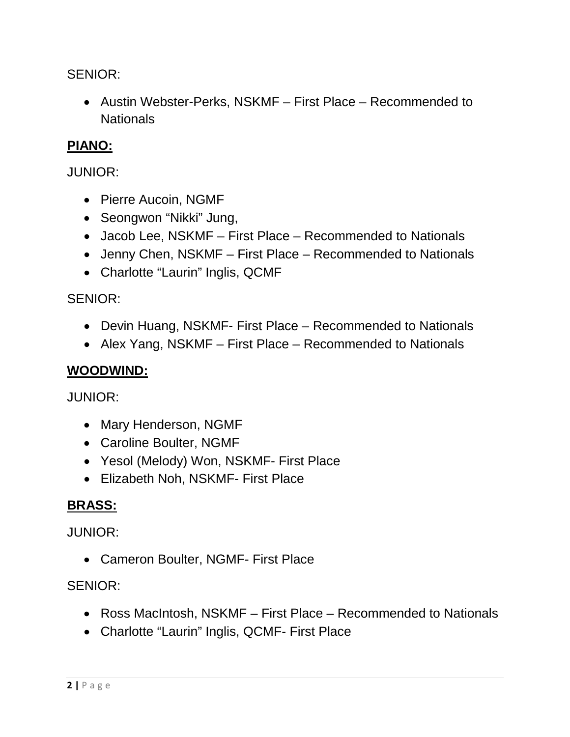SENIOR:

• Austin Webster-Perks, NSKMF – First Place – Recommended to **Nationals** 

# **PIANO:**

### JUNIOR:

- Pierre Aucoin, NGMF
- Seongwon "Nikki" Jung,
- Jacob Lee, NSKMF First Place Recommended to Nationals
- Jenny Chen, NSKMF First Place Recommended to Nationals
- Charlotte "Laurin" Inglis, QCMF

### SENIOR:

- Devin Huang, NSKMF- First Place Recommended to Nationals
- Alex Yang, NSKMF First Place Recommended to Nationals

## **WOODWIND:**

JUNIOR:

- Mary Henderson, NGMF
- Caroline Boulter, NGMF
- Yesol (Melody) Won, NSKMF- First Place
- Elizabeth Noh, NSKMF- First Place

# **BRASS:**

### JUNIOR:

• Cameron Boulter, NGMF- First Place

### SENIOR:

- Ross MacIntosh, NSKMF First Place Recommended to Nationals
- Charlotte "Laurin" Inglis, QCMF- First Place